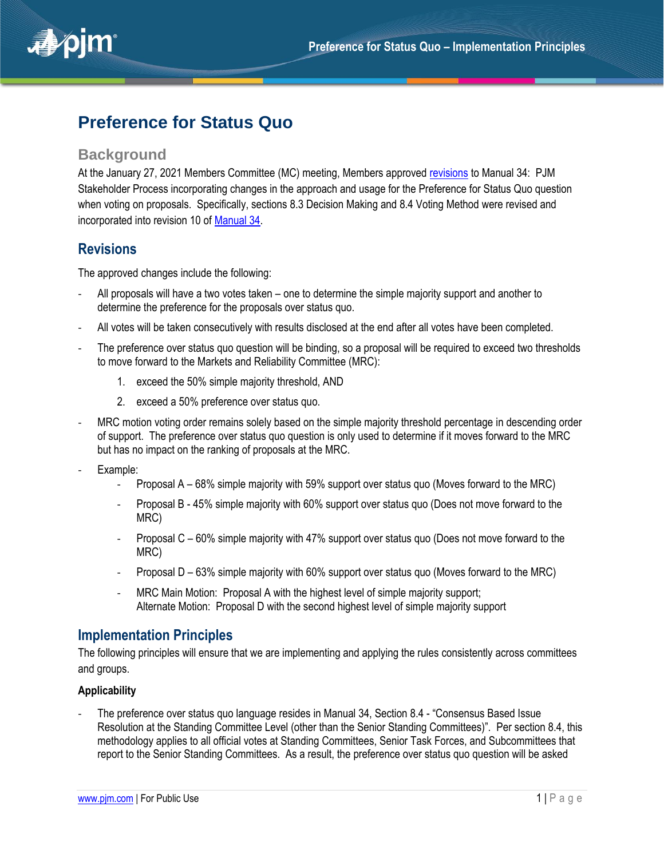

# **Preference for Status Quo**

### **Background**

At the January 27, 2021 Members Committee (MC) meeting, Members approved [revisions](https://www.pjm.com/-/media/committees-groups/committees/mc/2021/20210127/20210127-consent-agenda-b-manual-34-preference-for-status-quo-revisions-presentation.ashx) to Manual 34: PJM Stakeholder Process incorporating changes in the approach and usage for the Preference for Status Quo question when voting on proposals. Specifically, sections 8.3 Decision Making and 8.4 Voting Method were revised and incorporated into revision 10 of [Manual 34.](https://www.pjm.com/-/media/documents/manuals/m34.ashx)

## **Revisions**

The approved changes include the following:

- All proposals will have a two votes taken one to determine the simple majority support and another to determine the preference for the proposals over status quo.
- All votes will be taken consecutively with results disclosed at the end after all votes have been completed.
- The preference over status quo question will be binding, so a proposal will be required to exceed two thresholds to move forward to the Markets and Reliability Committee (MRC):
	- 1. exceed the 50% simple majority threshold, AND
	- 2. exceed a 50% preference over status quo.
- MRC motion voting order remains solely based on the simple majority threshold percentage in descending order of support. The preference over status quo question is only used to determine if it moves forward to the MRC but has no impact on the ranking of proposals at the MRC.
- Example:
	- Proposal A 68% simple majority with 59% support over status quo (Moves forward to the MRC)
	- Proposal B 45% simple majority with 60% support over status quo (Does not move forward to the MRC)
	- Proposal C 60% simple majority with 47% support over status quo (Does not move forward to the MRC)
	- Proposal D 63% simple majority with 60% support over status quo (Moves forward to the MRC)
	- MRC Main Motion: Proposal A with the highest level of simple majority support; Alternate Motion: Proposal D with the second highest level of simple majority support

## **Implementation Principles**

The following principles will ensure that we are implementing and applying the rules consistently across committees and groups.

#### **Applicability**

- The preference over status quo language resides in Manual 34, Section 8.4 - "Consensus Based Issue Resolution at the Standing Committee Level (other than the Senior Standing Committees)". Per section 8.4, this methodology applies to all official votes at Standing Committees, Senior Task Forces, and Subcommittees that report to the Senior Standing Committees. As a result, the preference over status quo question will be asked